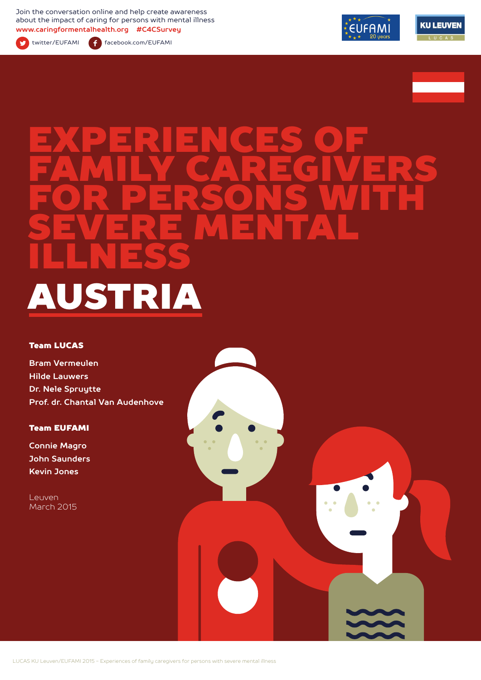Join the conversation online and help create awareness about the impact of caring for persons with mental illness **www.caringformentalhealth.org #C4CSurvey**



twitter/EUFAMI facebook.com/EUFAMI





# EXPERIENCES OF FAMILY CAREGIVERS FOR PERSONS WITH SEVERE MENTAL ILLNESS AUSTRIA

#### Team LUCAS

**Bram Vermeulen Hilde Lauwers Dr. Nele Spruytte Prof. dr. Chantal Van Audenhove**

#### Team EUFAMI

**Connie Magro John Saunders Kevin Jones**

Leuven March 2015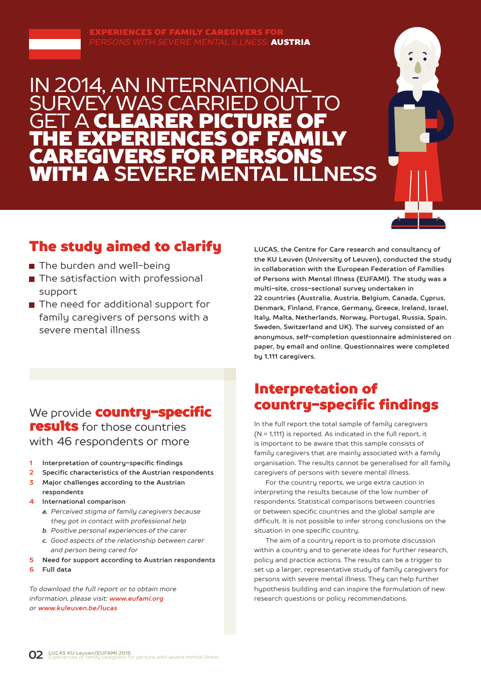

### IN 2014, AN INTERNATIONAL Y WAS CARRIE **GET A CLEARER PICTURE OF** THE EXPERIENCES OF FAMILY CAREGIVERS FOR PERSONS WITH A **SEVERE MENTAL ILLNESS**



### The study aimed to clarify

- The burden and well-being
- The satisfaction with professional support
- The need for additional support for family caregivers of persons with a severe mental illness

### We provide **country-specific** results for those countries with 46 respondents or more

- **1 Interpretation of country-specific findings**
- **2 Specific characteristics of the Austrian respondents**
- **3 Major challenges according to the Austrian respondents**
- **4 International comparison**
	- *a. Perceived stigma of family caregivers because they got in contact with professional help*
	- *b. Positive personal experiences of the carer*
	- *c. Good aspects of the relationship between carer and person being cared for*
- **5 Need for support according to Austrian respondents**
- **6 Full data**

*To download the full report or to obtain more information, please visit: www.eufami.org or www.kuleuven.be/lucas*

**LUCAS, the Centre for Care research and consultancy of the KU Leuven (University of Leuven), conducted the study in collaboration with the European Federation of Families of Persons with Mental Illness (EUFAMI). The study was a multi-site, cross-sectional survey undertaken in 22 countries (Australia, Austria, Belgium, Canada, Cyprus, Denmark, Finland, France, Germany, Greece, Ireland, Israel, Italy, Malta, Netherlands, Norway, Portugal, Russia, Spain, Sweden, Switzerland and UK). The survey consisted of an anonymous, self-completion questionnaire administered on paper, by email and online. Questionnaires were completed by 1,111 caregivers.** 

### Interpretation of country-specific findings

In the full report the total sample of family caregivers (N = 1,111) is reported. As indicated in the full report, it is important to be aware that this sample consists of family caregivers that are mainly associated with a family organisation. The results cannot be generalised for all family caregivers of persons with severe mental illness.

For the country reports, we urge extra caution in interpreting the results because of the low number of respondents. Statistical comparisons between countries or between specific countries and the global sample are difficult. It is not possible to infer strong conclusions on the situation in one specific country.

The aim of a country report is to promote discussion within a country and to generate ideas for further research, policy and practice actions. The results can be a trigger to set up a larger, representative study of family caregivers for persons with severe mental illness. They can help further hypothesis building and can inspire the formulation of new research questions or policy recommendations.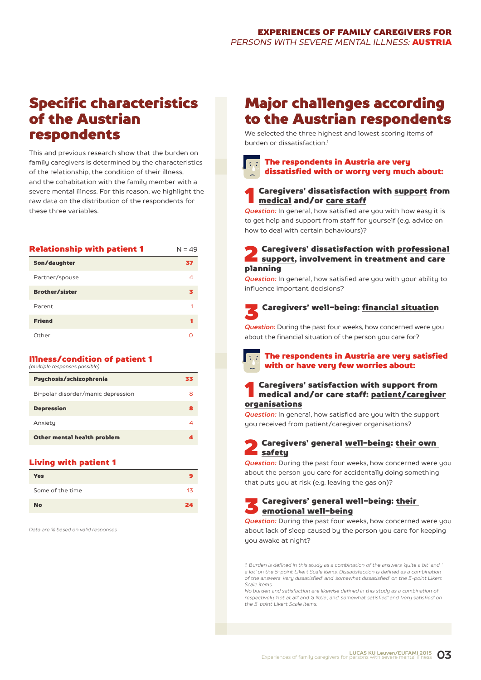### Specific characteristics of the Austrian respondents

This and previous research show that the burden on family caregivers is determined by the characteristics of the relationship, the condition of their illness, and the cohabitation with the family member with a severe mental illness. For this reason, we highlight the raw data on the distribution of the respondents for these three variables.

| <b>Relationship with patient 1</b> | $N = 49$ |
|------------------------------------|----------|
| Son/daughter                       | 37       |
| Partner/spouse                     | 4        |
| <b>Brother/sister</b>              | з        |
| Parent                             |          |
| <b>Friend</b>                      |          |
| Other                              |          |

#### Illness/condition of patient 1 *(multiple responses possible)*

| Psychosis/schizophrenia            | 33 |
|------------------------------------|----|
| Bi-polar disorder/manic depression | 8  |
| <b>Depression</b>                  | 8  |
| Anxiety                            | 4  |
| Other mental health problem        | А  |
|                                    |    |

#### Living with patient 1

| <b>Yes</b>       |    |
|------------------|----|
| Some of the time | 13 |
| <b>No</b>        | 24 |

*Data are % based on valid responses*

### Major challenges according to the Austrian respondents

We selected the three highest and lowest scoring items of burden or dissatisfaction<sup>1</sup>

### The respondents in Austria are very dissatisfied with or worry very much about:

### Caregivers' dissatisfaction with support from medical and/or care staff

*Question:* In general, how satisfied are you with how easy it is to get help and support from staff for yourself (e.g. advice on how to deal with certain behaviours)?

### **2** Caregivers' dissatisfaction with <u>professional</u><br>support, involvement in treatment and care planning

*Question:* In general, how satisfied are you with your ability to influence important decisions?

## 3 Caregivers' well-being: financial situation

*Question:* During the past four weeks, how concerned were you about the financial situation of the person you care for?

### The respondents in Austria are very satisfied with or have very few worries about:

### 1 Caregivers' satisfaction with support from medical and/or care staff: patient/caregiver organisations

**Question:** In general, how satisfied are you with the support you received from patient/caregiver organisations?

#### Caregivers' general well-being: their own safety

**Question:** During the past four weeks, how concerned were you about the person you care for accidentally doing something that puts you at risk (e.g. leaving the gas on)?

#### 3 Caregivers' general well-being: their emotional well-being

**Question:** During the past four weeks, how concerned were you about lack of sleep caused by the person you care for keeping you awake at night?

*1. Burden is defined in this study as a combination of the answers 'quite a bit' and ' a lot' on the 5-point Likert Scale items. Dissatisfaction is defined as a combination of the answers 'very dissatisfied' and 'somewhat dissatisfied' on the 5-point Likert Scale items.*

*No burden and satisfaction are likewise defined in this study as a combination of respectively 'not at all' and 'a little', and 'somewhat satisfied' and 'very satisfied' on the 5-point Likert Scale items.*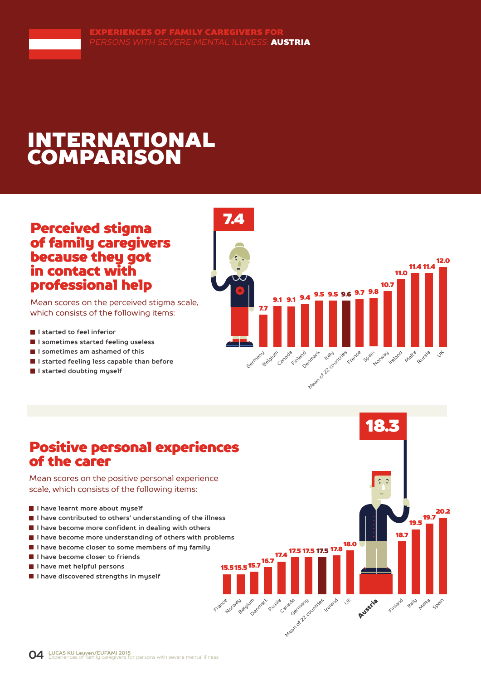# INTERNATIONAL COMPARISON

### Perceived stigma of family caregivers because they got in contact with professional help

Mean scores on the perceived stigma scale, which consists of the following items:

- **I** I started to feel inferior
- **I sometimes started feeling useless**
- **I sometimes am ashamed of this**
- **I started feeling less capable than before**
- **I started doubting myself**



18.3

19.5

traly Matra Spain

19.7 20.2

18.7

Finland

Austria

17.5 <sup>17.8</sup>

Ireland Jt

17.5 17.5

Arean of 22 countries

16.7 17.4

Russia

Denmark

Canada

15.7 15.5 15.5

Norway adjum

France

### Positive personal experiences of the carer

Mean scores on the positive personal experience scale, which consists of the following items:

- **I have learnt more about myself**
- **I have contributed to others' understanding of the illness**
- **I have become more confident in dealing with others**
- **I have become more understanding of others with problems**
- **I have become closer to some members of my family**
- **I have become closer to friends**
- **I have met helpful persons**
- **I** I have discovered strengths in muself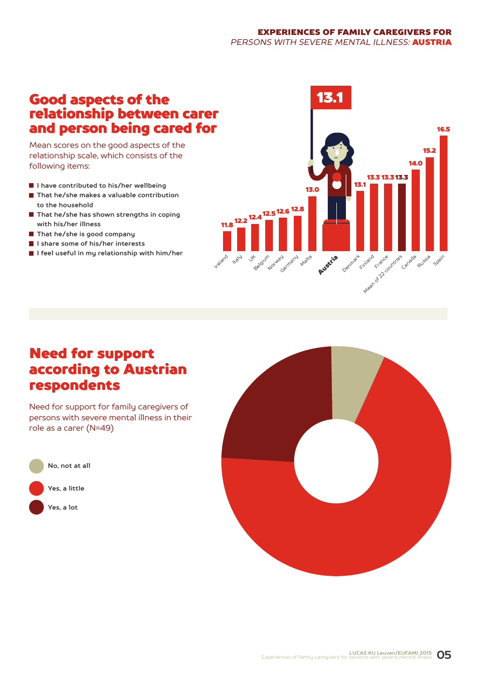#### EXPERIENCES OF FAMILY CAREGIVERS FOR *PERSONS WITH SEVERE MENTAL ILLNESS:* AUSTRIA

### Good aspects of the relationship between carer and person being cared for

Mean scores on the good aspects of the relationship scale, which consists of the following items:

- **I have contributed to his/her wellbeing**
- **That he/she makes a valuable contribution to the household**
- **That he/she has shown strengths in coping with his/her illness**
- **That he/she is good company**
- **I share some of his/her interests**
- **I feel useful in my relationship with him/her**



### Need for support according to Austrian respondents

Need for support for family caregivers of persons with severe mental illness in their role as a carer (N=49)



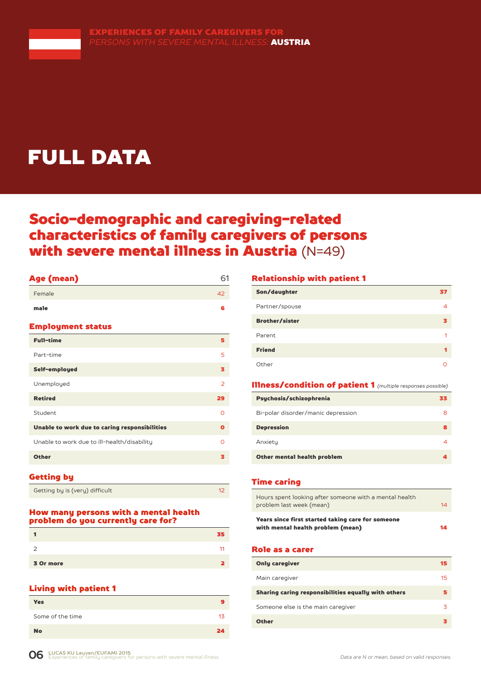

# FULL DATA

### Socio-demographic and caregiving-related characteristics of family caregivers of persons with severe mental illness in Austria (N=49)

#### Age (mean) 61

| Female                                        | 42             |
|-----------------------------------------------|----------------|
| male                                          | 6              |
| <b>Employment status</b>                      |                |
| <b>Full-time</b>                              | 5              |
| Part-time                                     | 5              |
| Self-employed                                 | з              |
| Unemployed                                    | $\overline{2}$ |
| <b>Retired</b>                                | 29             |
| Student                                       | Ω              |
| Unable to work due to caring responsibilities | $\mathbf o$    |
| Unable to work due to ill-health/disability   | Ω              |
| <b>Other</b>                                  | з              |
|                                               |                |

#### Getting by

| Getting by is (very) difficult |  |
|--------------------------------|--|
|--------------------------------|--|

#### How many persons with a mental health problem do you currently care for?

|           | 35 |
|-----------|----|
|           | 11 |
| 3 Or more | 7  |

### Living with patient 1

| <b>Yes</b>       |    |
|------------------|----|
| Some of the time | 13 |
| <b>No</b>        | 24 |

#### Relationship with patient 1

| Son/daughter          | 37 |
|-----------------------|----|
| Partner/spouse        |    |
| <b>Brother/sister</b> | з  |
| Parent                | 1  |
| <b>Friend</b>         |    |
| Other                 |    |

#### Illness/condition of patient 1 *(multiple responses possible)*

| Psychosis/schizophrenia            | 63 |
|------------------------------------|----|
| Bi-polar disorder/manic depression | 8  |
| <b>Depression</b>                  | я  |
| Anxiety                            |    |
| Other mental health problem        |    |

#### Time caring

| Hours spent looking after someone with a mental health<br>problem last week (mean)     | 14 |
|----------------------------------------------------------------------------------------|----|
| Years since first started taking care for someone<br>with mental health problem (mean) | 14 |

#### Role as a carer

| <b>Only caregiver</b>                               | 15 |
|-----------------------------------------------------|----|
| Main caregiver                                      | 15 |
| Sharing caring responsibilities equally with others |    |
| Someone else is the main caregiver                  | 3  |
| <b>Other</b>                                        |    |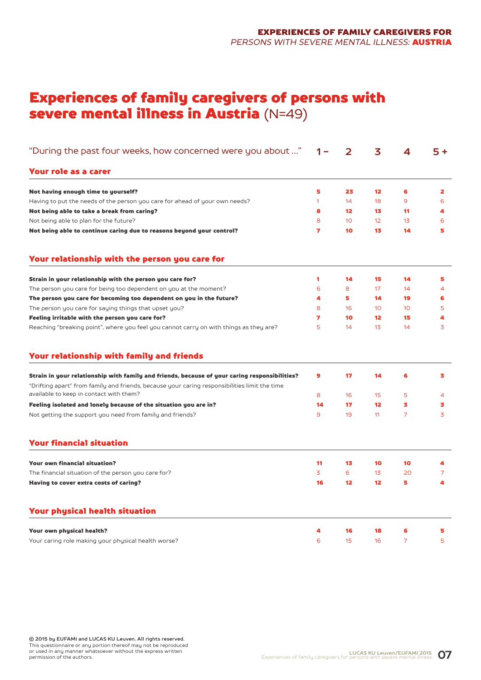### Experiences of family caregivers of persons with severe mental illness in Austria (N=49)

| "During the past four weeks, how concerned were you about "                                                                                                                                    | 1 –          | 2               | 3                 | 4               | $5+$ |
|------------------------------------------------------------------------------------------------------------------------------------------------------------------------------------------------|--------------|-----------------|-------------------|-----------------|------|
| <b>Your role as a carer</b>                                                                                                                                                                    |              |                 |                   |                 |      |
| Not having enough time to yourself?                                                                                                                                                            | 5            | 23              | $12 \overline{ }$ | 6               | 2    |
| Having to put the needs of the person you care for ahead of your own needs?                                                                                                                    | $\mathbf{1}$ | 14              | 18                | 9               | 6    |
| Not being able to take a break from caring?                                                                                                                                                    | 8            | 12              | 13                | 11              | 4    |
| Not being able to plan for the future?                                                                                                                                                         | 8            | 10 <sup>°</sup> | 12                | 13              | 6    |
| Not being able to continue caring due to reasons beyond your control?                                                                                                                          | 7            | 10              | 13                | 14              | 5    |
| Your relationship with the person you care for                                                                                                                                                 |              |                 |                   |                 |      |
| Strain in your relationship with the person you care for?                                                                                                                                      | 1            | 14              | 15                | 14              | 5    |
| The person you care for being too dependent on you at the moment?                                                                                                                              | 6            | 8               | 17                | 14              | 4    |
| The person you care for becoming too dependent on you in the future?                                                                                                                           | 4            | 5               | 14                | 19              | 6    |
| The person you care for saying things that upset you?                                                                                                                                          | 8            | 16              | 10                | 10 <sup>1</sup> | 5    |
| Feeling irritable with the person you care for?                                                                                                                                                | 7            | 10              | 12                | 15              | 4    |
| Reaching "breaking point", where you feel you cannot carry on with things as they are?                                                                                                         | 5            | 14              | 13                | 14              | 3    |
| Your relationship with family and friends                                                                                                                                                      |              |                 |                   |                 |      |
| Strain in your relationship with family and friends, because of your caring responsibilities?<br>"Drifting apart" from family and friends, because your caring responsibilities limit the time | 9            | 17              | 14                | 6               | 3    |
| available to keep in contact with them?                                                                                                                                                        | 8            | 16              | 15                | 5               | 4    |
| Feeling isolated and lonely because of the situation you are in?                                                                                                                               | 14           | 17              | $12 \overline{ }$ | 3               | 3    |
| Not getting the support you need from family and friends?                                                                                                                                      | 9            | 19              | 11                | $\overline{7}$  | 3    |
| <b>Your financial situation</b>                                                                                                                                                                |              |                 |                   |                 |      |
| <b>Your own financial situation?</b>                                                                                                                                                           | 11           | 13              | 10                | 10              | 4    |
| The financial situation of the person you care for?                                                                                                                                            | 3            | 6               | 13                | 20              | 7    |
| Having to cover extra costs of caring?                                                                                                                                                         | 16           | 12              | 12 <sup>2</sup>   | 5               | 4    |
| <b>Your physical health situation</b>                                                                                                                                                          |              |                 |                   |                 |      |
| Your own physical health?                                                                                                                                                                      | 4            | 16              | 18                | 6               | 5    |
| Your caring role making your physical health worse?                                                                                                                                            | 6            | 15              | 16                | 7               | 5    |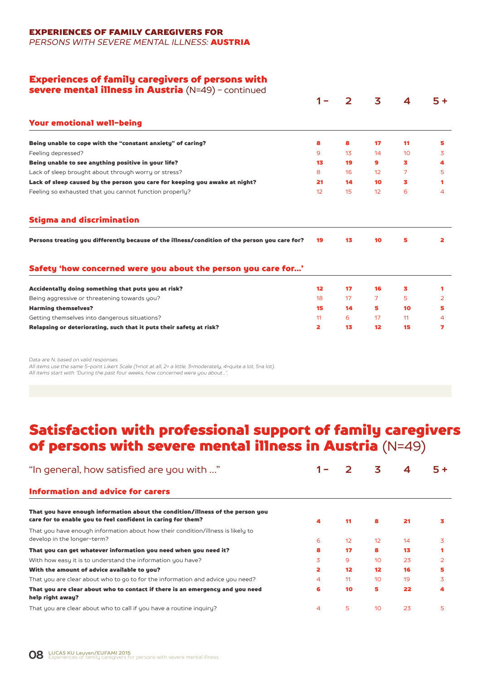EXPERIENCES OF FAMILY CAREGIVERS FOR

*PERSONS WITH SEVERE MENTAL ILLNESS:* AUSTRIA

#### Experiences of family caregivers of persons with

severe mental illness in Austria (N=49) - continued

|                                                                                               |                 |    | 3  | 4  | $5+$ |
|-----------------------------------------------------------------------------------------------|-----------------|----|----|----|------|
| <b>Your emotional well-being</b>                                                              |                 |    |    |    |      |
| Being unable to cope with the "constant anxiety" of caring?                                   | 8               | 8  | 17 | 11 | 5    |
| Feeling depressed?                                                                            | 9               | 13 | 14 | 10 | 3    |
| Being unable to see anything positive in your life?                                           | 13              | 19 | 9  | з  | 4    |
| Lack of sleep brought about through worry or stress?                                          | 8               | 16 | 12 | 7  | 5    |
| Lack of sleep caused by the person you care for keeping you awake at night?                   | 21              | 14 | 10 | з  | 1    |
| Feeling so exhausted that you cannot function properly?                                       | 12 <sup>2</sup> | 15 | 12 | 6  | 4    |
| <b>Stigma and discrimination</b>                                                              |                 |    |    |    |      |
| Persons treating you differently because of the illness/condition of the person you care for? | 19              | 13 | 10 | 5  | 2    |
|                                                                                               |                 |    |    |    |      |
| Safety 'how concerned were you about the person you care for'                                 |                 |    |    |    |      |
| Accidentally doing something that puts you at risk?                                           | 12 <sup>2</sup> | 17 | 16 | 3  | 1    |
| Being aggressive or threatening towards you?                                                  | 18              | 17 | 7  | 5  | 2    |
| <b>Harming themselves?</b>                                                                    | 15              | 14 | 5  | 10 | 5    |
| Getting themselves into dangerous situations?                                                 | 11              | 6  | 17 | 11 | 4    |

*Data are N, based on valid responses.* 

*All items use the same 5-point Likert Scale (1=not at all, 2= a little, 3=moderately, 4=quite a lot, 5=a lot). All items start with "During the past four weeks, how concerned were you about...".*

### Satisfaction with professional support of family caregivers of persons with severe mental illness in Austria (N=49)

| "In general, how satisfied are you with "                                                                                                      |   |    | 3               | 4  |                |
|------------------------------------------------------------------------------------------------------------------------------------------------|---|----|-----------------|----|----------------|
| <b>Information and advice for carers</b>                                                                                                       |   |    |                 |    |                |
| That you have enough information about the condition/illness of the person you<br>care for to enable you to feel confident in caring for them? | 4 | 11 | 8               | 21 | 3              |
| That you have enough information about how their condition/illness is likely to<br>develop in the longer-term?                                 | 6 | 12 | 12              | 14 | 3              |
| That you can get whatever information you need when you need it?                                                                               | 8 | 17 | 8               | 13 |                |
| With how easy it is to understand the information you have?                                                                                    | 3 | 9  | 10              | 23 | $\overline{2}$ |
| With the amount of advice available to you?                                                                                                    |   | 12 | 12 <sup>2</sup> | 16 |                |
| That you are clear about who to go to for the information and advice you need?                                                                 | 4 | 11 | 10              | 19 | 3              |
| That you are clear about who to contact if there is an emergency and you need<br>help right away?                                              | 6 | 10 | 5               | 22 | 4              |
| That you are clear about who to call if you have a routine inquiry?                                                                            | 4 | 5  | 10              | 23 | 5.             |